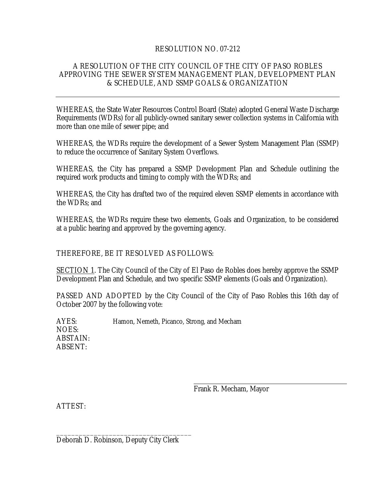# RESOLUTION NO. 07-212

# A RESOLUTION OF THE CITY COUNCIL OF THE CITY OF PASO ROBLES APPROVING THE SEWER SYSTEM MANAGEMENT PLAN, DEVELOPMENT PLAN & SCHEDULE, AND SSMP GOALS & ORGANIZATION

WHEREAS, the State Water Resources Control Board (State) adopted General Waste Discharge Requirements (WDRs) for all publicly-owned sanitary sewer collection systems in California with more than one mile of sewer pipe; and

WHEREAS, the WDRs require the development of a Sewer System Management Plan (SSMP) to reduce the occurrence of Sanitary System Overflows.

WHEREAS, the City has prepared a SSMP Development Plan and Schedule outlining the required work products and timing to comply with the WDRs; and

WHEREAS, the City has drafted two of the required eleven SSMP elements in accordance with the WDRs; and

WHEREAS, the WDRs require these two elements, Goals and Organization, to be considered at a public hearing and approved by the governing agency.

THEREFORE, BE IT RESOLVED AS FOLLOWS:

SECTION 1. The City Council of the City of El Paso de Robles does hereby approve the SSMP Development Plan and Schedule, and two specific SSMP elements (Goals and Organization).

PASSED AND ADOPTED by the City Council of the City of Paso Robles this 16th day of October 2007 by the following vote:

AYES: Hamon, Nemeth, Picanco, Strong, and Mecham NOES: ABSTAIN: ABSENT:

Frank R. Mecham, Mayor

ATTEST:

Deborah D. Robinson, Deputy City Clerk

\_\_\_\_\_\_\_\_\_\_\_\_\_\_\_\_\_\_\_\_\_\_\_\_\_\_\_\_\_\_\_\_\_\_\_\_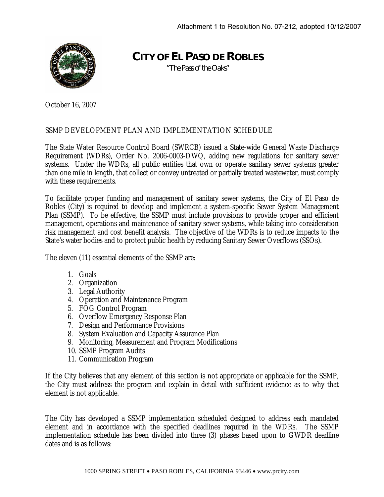

**CITY OF EL PASO DE ROBLES**

*"The Pass of the Oaks"* 

October 16, 2007

# SSMP DEVELOPMENT PLAN AND IMPLEMENTATION SCHEDULE

The State Water Resource Control Board (SWRCB) issued a State-wide General Waste Discharge Requirement (WDRs), Order No. 2006-0003-DWQ, adding new regulations for sanitary sewer systems. Under the WDRs, all public entities that own or operate sanitary sewer systems greater than one mile in length, that collect or convey untreated or partially treated wastewater, must comply with these requirements.

To facilitate proper funding and management of sanitary sewer systems, the City of El Paso de Robles (City) is required to develop and implement a system-specific Sewer System Management Plan (SSMP). To be effective, the SSMP must include provisions to provide proper and efficient management, operations and maintenance of sanitary sewer systems, while taking into consideration risk management and cost benefit analysis. The objective of the WDRs is to reduce impacts to the State's water bodies and to protect public health by reducing Sanitary Sewer Overflows (SSOs).

The eleven (11) essential elements of the SSMP are:

- 1. Goals
- 2. Organization
- 3. Legal Authority
- 4. Operation and Maintenance Program
- 5. FOG Control Program
- 6. Overflow Emergency Response Plan
- 7. Design and Performance Provisions
- 8. System Evaluation and Capacity Assurance Plan
- 9. Monitoring, Measurement and Program Modifications
- 10. SSMP Program Audits
- 11. Communication Program

If the City believes that any element of this section is not appropriate or applicable for the SSMP, the City must address the program and explain in detail with sufficient evidence as to why that element is not applicable.

The City has developed a SSMP implementation scheduled designed to address each mandated element and in accordance with the specified deadlines required in the WDRs. The SSMP implementation schedule has been divided into three (3) phases based upon to GWDR deadline dates and is as follows: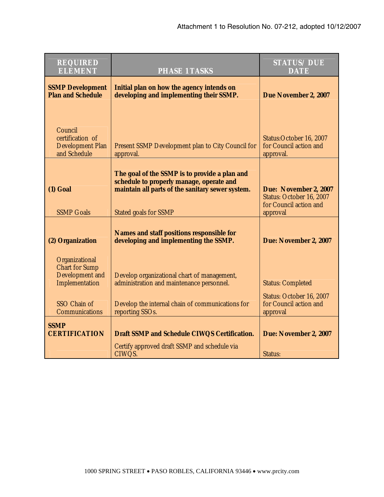| <b>REQUIRED</b><br><b>ELEMENT</b>                                                                              | <b>PHASE 1 TASKS</b>                                                                                                                                                   | <b>STATUS/DUE</b><br><b>DATE</b>                                                           |
|----------------------------------------------------------------------------------------------------------------|------------------------------------------------------------------------------------------------------------------------------------------------------------------------|--------------------------------------------------------------------------------------------|
| <b>SSMP Development</b><br><b>Plan and Schedule</b>                                                            | Initial plan on how the agency intends on<br>developing and implementing their SSMP.                                                                                   | Due November 2, 2007                                                                       |
| Council<br>certification of<br><b>Development Plan</b><br>and Schedule                                         | Present SSMP Development plan to City Council for<br>approval.                                                                                                         | Status: October 16, 2007<br>for Council action and<br>approval.                            |
| $(1)$ Goal<br><b>SSMP Goals</b>                                                                                | The goal of the SSMP is to provide a plan and<br>schedule to properly manage, operate and<br>maintain all parts of the sanitary sewer system.<br>Stated goals for SSMP | Due: November 2, 2007<br>Status: October 16, 2007<br>for Council action and<br>approval    |
| (2) Organization                                                                                               | <b>Names and staff positions responsible for</b><br>developing and implementing the SSMP.                                                                              | Due: November 2, 2007                                                                      |
| Organizational<br><b>Chart for Sump</b><br>Development and<br>Implementation<br>SSO Chain of<br>Communications | Develop organizational chart of management,<br>administration and maintenance personnel.<br>Develop the internal chain of communications for<br>reporting SSOs.        | <b>Status: Completed</b><br>Status: October 16, 2007<br>for Council action and<br>approval |
| <b>SSMP</b><br><b>CERTIFICATION</b>                                                                            | Draft SSMP and Schedule CIWQS Certification.                                                                                                                           | Due: November 2, 2007                                                                      |
|                                                                                                                | Certify approved draft SSMP and schedule via<br>CIWQS.                                                                                                                 | Status:                                                                                    |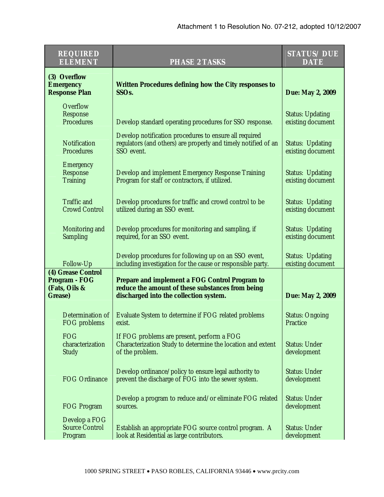| <b>REQUIRED</b><br><b>ELEMENT</b>                               | <b>PHASE 2 TASKS</b>                                                                                                                                | <b>STATUS/DUE</b><br><b>DATE</b>             |
|-----------------------------------------------------------------|-----------------------------------------------------------------------------------------------------------------------------------------------------|----------------------------------------------|
| (3) Overflow<br><b>Emergency</b><br><b>Response Plan</b>        | <b>Written Procedures defining how the City responses to</b><br>SSO <sub>s.</sub>                                                                   | Due: May 2, 2009                             |
| Overflow<br>Response<br>Procedures                              | Develop standard operating procedures for SSO response.                                                                                             | <b>Status: Updating</b><br>existing document |
| Notification<br>Procedures                                      | Develop notification procedures to ensure all required<br>regulators (and others) are properly and timely notified of an<br>SSO event.              | <b>Status: Updating</b><br>existing document |
| Emergency<br>Response<br><b>Training</b>                        | Develop and implement Emergency Response Training<br>Program for staff or contractors, if utilized.                                                 | <b>Status: Updating</b><br>existing document |
| Traffic and<br><b>Crowd Control</b>                             | Develop procedures for traffic and crowd control to be<br>utilized during an SSO event.                                                             | <b>Status: Updating</b><br>existing document |
| Monitoring and<br><b>Sampling</b>                               | Develop procedures for monitoring and sampling, if<br>required, for an SSO event.                                                                   | Status: Updating<br>existing document        |
| Follow-Up                                                       | Develop procedures for following up on an SSO event,<br>including investigation for the cause or responsible party.                                 | <b>Status: Updating</b><br>existing document |
| (4) Grease Control<br>Program - FOG<br>(Fats, Oils &<br>Grease) | <b>Prepare and implement a FOG Control Program to</b><br>reduce the amount of these substances from being<br>discharged into the collection system. | Due: May 2, 2009                             |
| Determination of<br>FOG problems                                | Evaluate System to determine if FOG related problems<br>exist.                                                                                      | <b>Status: Ongoing</b><br>Practice           |
| <b>FOG</b><br>characterization<br>Study                         | If FOG problems are present, perform a FOG<br>Characterization Study to determine the location and extent<br>of the problem.                        | <b>Status: Under</b><br>development          |
| FOG Ordinance                                                   | Develop ordinance/policy to ensure legal authority to<br>prevent the discharge of FOG into the sewer system.                                        | <b>Status: Under</b><br>development          |
| <b>FOG Program</b>                                              | Develop a program to reduce and/or eliminate FOG related<br>sources.                                                                                | <b>Status: Under</b><br>development          |
| Develop a FOG<br><b>Source Control</b><br>Program               | Establish an appropriate FOG source control program. A<br>look at Residential as large contributors.                                                | <b>Status: Under</b><br>development          |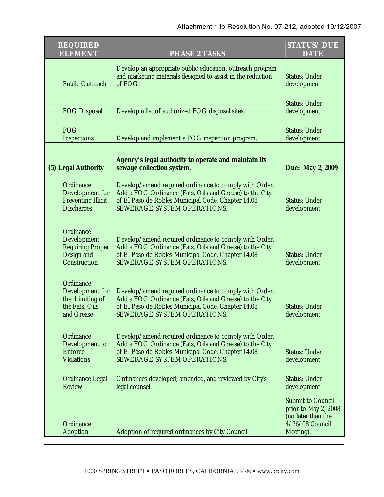| <b>REQUIRED</b><br><b>ELEMENT</b>                                                 | <b>PHASE 2 TASKS</b>                                                                                                                                                                                   | <b>STATUS/DUE</b><br><b>DATE</b>                                                                       |
|-----------------------------------------------------------------------------------|--------------------------------------------------------------------------------------------------------------------------------------------------------------------------------------------------------|--------------------------------------------------------------------------------------------------------|
| <b>Public Outreach</b>                                                            | Develop an appropriate public education, outreach program<br>and marketing materials designed to assist in the reduction<br>of FOG.                                                                    | <b>Status: Under</b><br>development                                                                    |
| <b>FOG Disposal</b>                                                               | Develop a list of authorized FOG disposal sites.                                                                                                                                                       | <b>Status: Under</b><br>development                                                                    |
| <b>FOG</b><br>Inspections                                                         | Develop and implement a FOG inspection program.                                                                                                                                                        | <b>Status: Under</b><br>development                                                                    |
| (5) Legal Authority                                                               | Agency's legal authority to operate and maintain its<br>sewage collection system.                                                                                                                      | Due: May 2, 2009                                                                                       |
| Ordinance<br>Development for<br><b>Preventing Illicit</b><br><b>Discharges</b>    | Develop/amend required ordinance to comply with Order.<br>Add a FOG Ordinance (Fats, Oils and Grease) to the City<br>of El Paso de Robles Municipal Code, Chapter 14.08<br>SEWERAGE SYSTEM OPERATIONS. | <b>Status: Under</b><br>development                                                                    |
| Ordinance<br>Development<br><b>Requiring Proper</b><br>Design and<br>Construction | Develop/amend required ordinance to comply with Order.<br>Add a FOG Ordinance (Fats, Oils and Grease) to the City<br>of El Paso de Robles Municipal Code, Chapter 14.08<br>SEWERAGE SYSTEM OPERATIONS. | <b>Status: Under</b><br>development                                                                    |
| Ordinance<br>Development for<br>the Limiting of<br>the Fats, Oils<br>and Grease   | Develop/amend required ordinance to comply with Order.<br>Add a FOG Ordinance (Fats, Oils and Grease) to the City<br>of El Paso de Robles Municipal Code, Chapter 14.08<br>SEWERAGE SYSTEM OPERATIONS. | <b>Status: Under</b><br>development                                                                    |
| Ordinance<br>Development to<br>Enforce<br><b>Violations</b>                       | Develop/amend required ordinance to comply with Order.<br>Add a FOG Ordinance (Fats, Oils and Grease) to the City<br>of El Paso de Robles Municipal Code, Chapter 14.08<br>SEWERAGE SYSTEM OPERATIONS. | Status: Under<br>development                                                                           |
| <b>Ordinance Legal</b><br><b>Review</b>                                           | Ordinances developed, amended, and reviewed by City's<br>legal counsel.                                                                                                                                | <b>Status: Under</b><br>development                                                                    |
| Ordinance<br>Adoption                                                             | Adoption of required ordinances by City Council                                                                                                                                                        | <b>Submit to Council</b><br>prior to May 2, 2008<br>(no later than the<br>4/26/08 Council<br>Meeting). |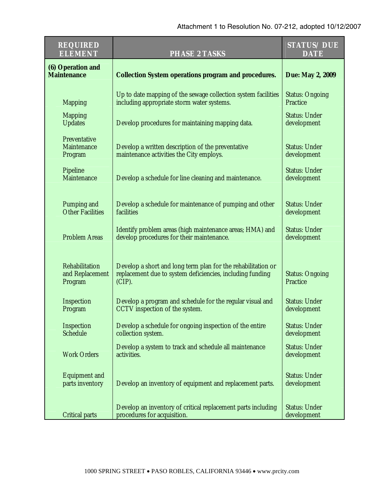| <b>REQUIRED</b><br><b>ELEMENT</b>            | <b>PHASE 2 TASKS</b>                                                                                                                   | <b>STATUS/DUE</b><br><b>DATE</b>    |
|----------------------------------------------|----------------------------------------------------------------------------------------------------------------------------------------|-------------------------------------|
| (6) Operation and<br><b>Maintenance</b>      | <b>Collection System operations program and procedures.</b>                                                                            | Due: May 2, 2009                    |
| <b>Mapping</b>                               | Up to date mapping of the sewage collection system facilities<br>including appropriate storm water systems.                            | <b>Status: Ongoing</b><br>Practice  |
| <b>Mapping</b><br><b>Updates</b>             | Develop procedures for maintaining mapping data.                                                                                       | <b>Status: Under</b><br>development |
| Preventative<br>Maintenance<br>Program       | Develop a written description of the preventative<br>maintenance activities the City employs.                                          | <b>Status: Under</b><br>development |
| Pipeline<br>Maintenance                      | Develop a schedule for line cleaning and maintenance.                                                                                  | <b>Status: Under</b><br>development |
| Pumping and<br><b>Other Facilities</b>       | Develop a schedule for maintenance of pumping and other<br>facilities                                                                  | <b>Status: Under</b><br>development |
| <b>Problem Areas</b>                         | Identify problem areas (high maintenance areas; HMA) and<br>develop procedures for their maintenance.                                  | <b>Status: Under</b><br>development |
| Rehabilitation<br>and Replacement<br>Program | Develop a short and long term plan for the rehabilitation or<br>replacement due to system deficiencies, including funding<br>$(CIP)$ . | <b>Status: Ongoing</b><br>Practice  |
| Inspection<br>Program                        | Develop a program and schedule for the regular visual and<br>CCTV inspection of the system.                                            | <b>Status: Under</b><br>development |
| Inspection<br>Schedule                       | Develop a schedule for ongoing inspection of the entire<br>collection system.                                                          | <b>Status: Under</b><br>development |
| <b>Work Orders</b>                           | Develop a system to track and schedule all maintenance<br>activities.                                                                  | <b>Status: Under</b><br>development |
| <b>Equipment and</b><br>parts inventory      | Develop an inventory of equipment and replacement parts.                                                                               | <b>Status: Under</b><br>development |
| <b>Critical parts</b>                        | Develop an inventory of critical replacement parts including<br>procedures for acquisition.                                            | <b>Status: Under</b><br>development |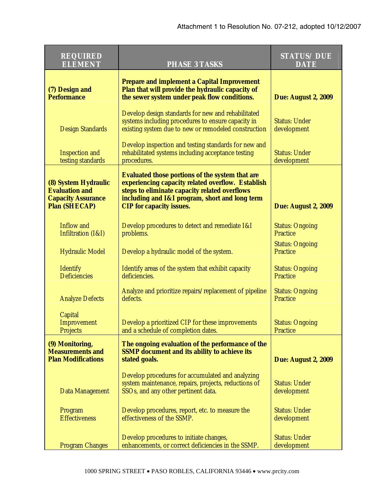| <b>REQUIRED</b><br><b>ELEMENT</b>                                                                  | <b>PHASE 3 TASKS</b>                                                                                                                                                                                                                              | <b>STATUS/DUE</b><br><b>DATE</b>    |
|----------------------------------------------------------------------------------------------------|---------------------------------------------------------------------------------------------------------------------------------------------------------------------------------------------------------------------------------------------------|-------------------------------------|
| (7) Design and<br><b>Performance</b>                                                               | <b>Prepare and implement a Capital Improvement</b><br>Plan that will provide the hydraulic capacity of<br>the sewer system under peak flow conditions.                                                                                            | <b>Due: August 2, 2009</b>          |
| <b>Design Standards</b>                                                                            | Develop design standards for new and rehabilitated<br>systems including procedures to ensure capacity in<br>existing system due to new or remodeled construction                                                                                  | <b>Status: Under</b><br>development |
| <b>Inspection and</b><br>testing standards                                                         | Develop inspection and testing standards for new and<br>rehabilitated systems including acceptance testing<br>procedures.                                                                                                                         | <b>Status: Under</b><br>development |
| (8) System Hydraulic<br><b>Evaluation and</b><br><b>Capacity Assurance</b><br><b>Plan (SHECAP)</b> | <b>Evaluated those portions of the system that are</b><br>experiencing capacity related overflow. Establish<br>steps to eliminate capacity related overflows<br>including and I&I program, short and long term<br><b>CIP</b> for capacity issues. | <b>Due: August 2, 2009</b>          |
| Inflow and<br>Infiltration (I&I)                                                                   | Develop procedures to detect and remediate I&I<br>problems.                                                                                                                                                                                       | <b>Status: Ongoing</b><br>Practice  |
| <b>Hydraulic Model</b>                                                                             | Develop a hydraulic model of the system.                                                                                                                                                                                                          | <b>Status: Ongoing</b><br>Practice  |
| Identify<br><b>Deficiencies</b>                                                                    | Identify areas of the system that exhibit capacity<br>deficiencies.                                                                                                                                                                               | <b>Status: Ongoing</b><br>Practice  |
| <b>Analyze Defects</b>                                                                             | Analyze and prioritize repairs/replacement of pipeline<br>defects.                                                                                                                                                                                | <b>Status: Ongoing</b><br>Practice  |
| Capital<br>Improvement<br>Projects                                                                 | Develop a prioritized CIP for these improvements<br>and a schedule of completion dates.                                                                                                                                                           | <b>Status: Ongoing</b><br>Practice  |
| (9) Monitoring,<br><b>Measurements and</b><br><b>Plan Modifications</b>                            | The ongoing evaluation of the performance of the<br><b>SSMP</b> document and its ability to achieve its<br>stated goals.                                                                                                                          | <b>Due: August 2, 2009</b>          |
| Data Management                                                                                    | Develop procedures for accumulated and analyzing<br>system maintenance, repairs, projects, reductions of<br>SSOs, and any other pertinent data.                                                                                                   | <b>Status: Under</b><br>development |
| Program<br><b>Effectiveness</b>                                                                    | Develop procedures, report, etc. to measure the<br>effectiveness of the SSMP.                                                                                                                                                                     | <b>Status: Under</b><br>development |
| <b>Program Changes</b>                                                                             | Develop procedures to initiate changes,<br>enhancements, or correct deficiencies in the SSMP.                                                                                                                                                     | <b>Status: Under</b><br>development |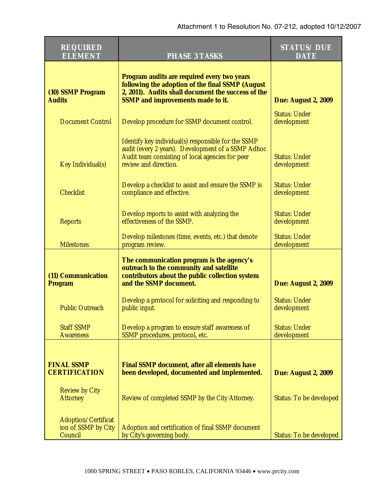| <b>REQUIRED</b><br><b>ELEMENT</b>                     | <b>PHASE 3 TASKS</b>                                                                                                                                                                              | <b>STATUS/DUE</b><br><b>DATE</b>    |
|-------------------------------------------------------|---------------------------------------------------------------------------------------------------------------------------------------------------------------------------------------------------|-------------------------------------|
| (10) SSMP Program<br><b>Audits</b>                    | Program audits are required every two years<br>following the adoption of the final SSMP (August<br>2, 2011). Audits shall document the success of the<br><b>SSMP</b> and improvements made to it. | <b>Due: August 2, 2009</b>          |
| <b>Document Control</b>                               | Develop procedure for SSMP document control.                                                                                                                                                      | <b>Status: Under</b><br>development |
| Key Individual(s)                                     | Identify key individual(s) responsible for the SSMP<br>audit (every 2 years). Development of a SSMP Adhoc<br>Audit team consisting of local agencies for peer<br>review and direction.            | <b>Status: Under</b><br>development |
| <b>Checklist</b>                                      | Develop a checklist to assist and ensure the SSMP is<br>compliance and effective.                                                                                                                 | <b>Status: Under</b><br>development |
| <b>Reports</b>                                        | Develop reports to assist with analyzing the<br>effectiveness of the SSMP.                                                                                                                        | <b>Status: Under</b><br>development |
| <b>Milestones</b>                                     | Develop milestones (time, events, etc.) that denote<br>program review.                                                                                                                            | <b>Status: Under</b><br>development |
| (11) Communication<br>Program                         | The communication program is the agency's<br>outreach to the community and satellite<br>contributors about the public collection system<br>and the SSMP document.                                 | <b>Due: August 2, 2009</b>          |
| <b>Public Outreach</b>                                | Develop a protocol for soliciting and responding to<br>public input.                                                                                                                              | <b>Status: Under</b><br>development |
| <b>Staff SSMP</b><br><b>Awareness</b>                 | Develop a program to ensure staff awareness of<br>SSMP procedures, protocol, etc.                                                                                                                 | <b>Status: Under</b><br>development |
| <b>FINAL SSMP</b><br><b>CERTIFICATION</b>             | <b>Final SSMP document, after all elements have</b><br>been developed, documented and implemented.                                                                                                | <b>Due: August 2, 2009</b>          |
| <b>Review by City</b><br><b>Attorney</b>              | Review of completed SSMP by the City Attorney.                                                                                                                                                    | Status: To be developed             |
| Adoption/Certificat<br>ion of SSMP by City<br>Council | Adoption and certification of final SSMP document<br>by City's governing body.                                                                                                                    | Status: To be developed             |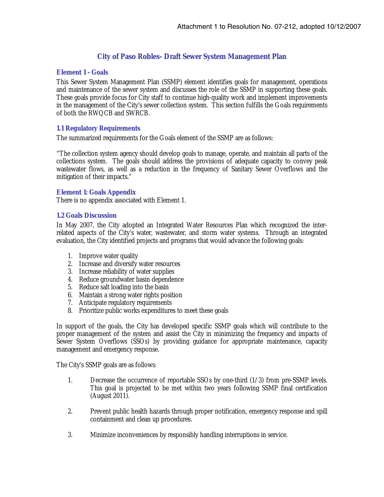# **City of Paso Robles- Draft Sewer System Management Plan**

### **Element 1 - Goals**

This Sewer System Management Plan (SSMP) element identifies goals for management, operations and maintenance of the sewer system and discusses the role of the SSMP in supporting these goals. These goals provide focus for City staff to continue high-quality work and implement improvements in the management of the City's sewer collection system. This section fulfills the Goals requirements of both the RWQCB and SWRCB.

# **1.1 Regulatory Requirements**

The summarized requirements for the Goals element of the SSMP are as follows:

"The collection system agency should develop goals to manage, operate, and maintain all parts of the collections system. The goals should address the provisions of adequate capacity to convey peak wastewater flows, as well as a reduction in the frequency of Sanitary Sewer Overflows and the mitigation of their impacts."

### **Element 1: Goals Appendix**

There is no appendix associated with Element 1.

### **1.2 Goals Discussion**

In May 2007, the City adopted an Integrated Water Resources Plan which recognized the interrelated aspects of the City's water, wastewater, and storm water systems. Through an integrated evaluation, the City identified projects and programs that would advance the following goals:

- 1. Improve water quality
- 2. Increase and diversify water resources
- 3. Increase reliability of water supplies
- 4. Reduce groundwater basin dependence
- 5. Reduce salt loading into the basin
- 6. Maintain a strong water rights position
- 7. Anticipate regulatory requirements
- 8. Prioritize public works expenditures to meet these goals

In support of the goals, the City has developed specific SSMP goals which will contribute to the proper management of the system and assist the City in minimizing the frequency and impacts of Sewer System Overflows (SSOs) by providing guidance for appropriate maintenance, capacity management and emergency response.

The City's SSMP goals are as follows:

- 1. Decrease the occurrence of reportable SSOs by one-third (1/3) from pre-SSMP levels. This goal is projected to be met within two years following SSMP final certification (August 2011).
- 2. Prevent public health hazards through proper notification, emergency response and spill containment and clean up procedures.
- 3. Minimize inconveniences by responsibly handling interruptions in service.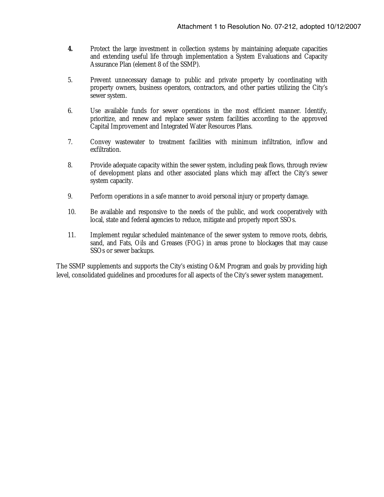- **4.** Protect the large investment in collection systems by maintaining adequate capacities and extending useful life through implementation a System Evaluations and Capacity Assurance Plan (element 8 of the SSMP).
- 5. Prevent unnecessary damage to public and private property by coordinating with property owners, business operators, contractors, and other parties utilizing the City's sewer system.
- 6. Use available funds for sewer operations in the most efficient manner. Identify, prioritize, and renew and replace sewer system facilities according to the approved Capital Improvement and Integrated Water Resources Plans.
- 7. Convey wastewater to treatment facilities with minimum infiltration, inflow and exfiltration.
- 8. Provide adequate capacity within the sewer system, including peak flows, through review of development plans and other associated plans which may affect the City's sewer system capacity.
- 9. Perform operations in a safe manner to avoid personal injury or property damage.
- 10. Be available and responsive to the needs of the public, and work cooperatively with local, state and federal agencies to reduce, mitigate and properly report SSOs.
- 11. Implement regular scheduled maintenance of the sewer system to remove roots, debris, sand, and Fats, Oils and Greases (FOG) in areas prone to blockages that may cause SSOs or sewer backups.

The SSMP supplements and supports the City's existing O&M Program and goals by providing high level, consolidated guidelines and procedures for all aspects of the City's sewer system management.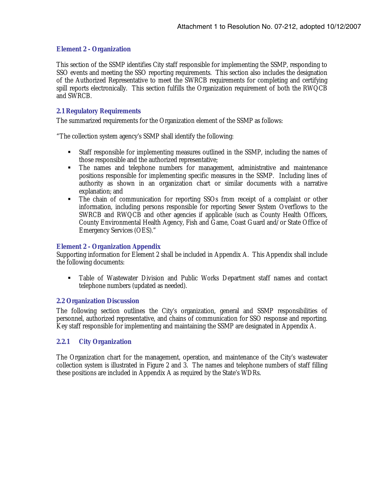## **Element 2 - Organization**

This section of the SSMP identifies City staff responsible for implementing the SSMP, responding to SSO events and meeting the SSO reporting requirements. This section also includes the designation of the Authorized Representative to meet the SWRCB requirements for completing and certifying spill reports electronically. This section fulfills the Organization requirement of both the RWQCB and SWRCB.

### **2.1 Regulatory Requirements**

The summarized requirements for the Organization element of the SSMP as follows:

"The collection system agency's SSMP shall identify the following:

- Staff responsible for implementing measures outlined in the SSMP, including the names of those responsible and the authorized representative;
- The names and telephone numbers for management, administrative and maintenance positions responsible for implementing specific measures in the SSMP. Including lines of authority as shown in an organization chart or similar documents with a narrative explanation; and
- The chain of communication for reporting SSOs from receipt of a complaint or other information, including persons responsible for reporting Sewer System Overflows to the SWRCB and RWQCB and other agencies if applicable (such as County Health Officers, County Environmental Health Agency, Fish and Game, Coast Guard and/or State Office of Emergency Services (OES)."

## **Element 2 - Organization Appendix**

Supporting information for Element 2 shall be included in Appendix A. This Appendix shall include the following documents:

 Table of Wastewater Division and Public Works Department staff names and contact telephone numbers (updated as needed).

### **2.2 Organization Discussion**

The following section outlines the City's organization, general and SSMP responsibilities of personnel, authorized representative, and chains of communication for SSO response and reporting. Key staff responsible for implementing and maintaining the SSMP are designated in Appendix A.

# **2.2.1 City Organization**

The Organization chart for the management, operation, and maintenance of the City's wastewater collection system is illustrated in Figure 2 and 3. The names and telephone numbers of staff filling these positions are included in Appendix A as required by the State's WDRs.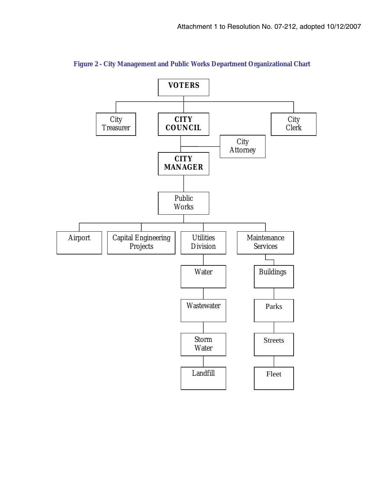

**Figure 2 - City Management and Public Works Department Organizational Chart**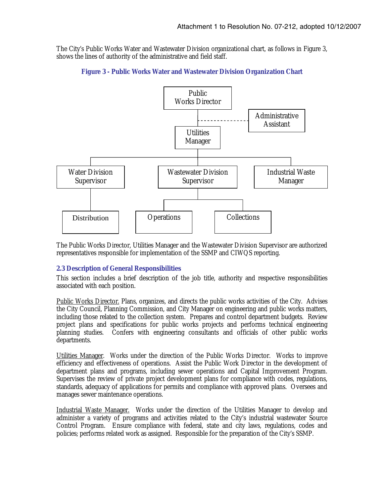The City's Public Works Water and Wastewater Division organizational chart, as follows in Figure 3, shows the lines of authority of the administrative and field staff.





The Public Works Director, Utilities Manager and the Wastewater Division Supervisor are authorized representatives responsible for implementation of the SSMP and CIWQS reporting.

# **2.3 Description of General Responsibilities**

This section includes a brief description of the job title, authority and respective responsibilities associated with each position.

Public Works Director. Plans, organizes, and directs the public works activities of the City. Advises the City Council, Planning Commission, and City Manager on engineering and public works matters, including those related to the collection system. Prepares and control department budgets. Review project plans and specifications for public works projects and performs technical engineering planning studies. Confers with engineering consultants and officials of other public works departments.

Utilities Manager. Works under the direction of the Public Works Director. Works to improve efficiency and effectiveness of operations. Assist the Public Work Director in the development of department plans and programs, including sewer operations and Capital Improvement Program. Supervises the review of private project development plans for compliance with codes, regulations, standards, adequacy of applications for permits and compliance with approved plans. Oversees and manages sewer maintenance operations.

Industrial Waste Manager. Works under the direction of the Utilities Manager to develop and administer a variety of programs and activities related to the City's industrial wastewater Source Control Program. Ensure compliance with federal, state and city laws, regulations, codes and policies; performs related work as assigned. Responsible for the preparation of the City's SSMP.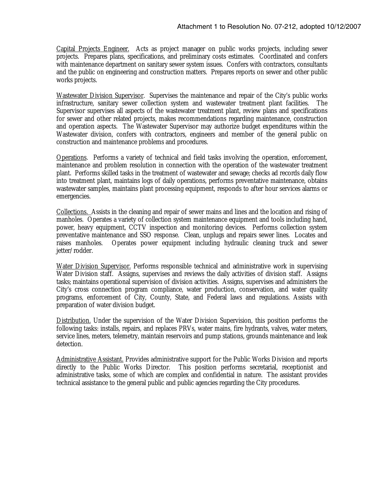Capital Projects Engineer. Acts as project manager on public works projects, including sewer projects. Prepares plans, specifications, and preliminary costs estimates. Coordinated and confers with maintenance department on sanitary sewer system issues. Confers with contractors, consultants and the public on engineering and construction matters. Prepares reports on sewer and other public works projects.

Wastewater Division Supervisor. Supervises the maintenance and repair of the City's public works infrastructure, sanitary sewer collection system and wastewater treatment plant facilities. The Supervisor supervises all aspects of the wastewater treatment plant, review plans and specifications for sewer and other related projects, makes recommendations regarding maintenance, construction and operation aspects. The Wastewater Supervisor may authorize budget expenditures within the Wastewater division, confers with contractors, engineers and member of the general public on construction and maintenance problems and procedures.

Operations. Performs a variety of technical and field tasks involving the operation, enforcement, maintenance and problem resolution in connection with the operation of the wastewater treatment plant. Performs skilled tasks in the treatment of wastewater and sewage; checks ad records daily flow into treatment plant, maintains logs of daily operations, performs preventative maintenance, obtains wastewater samples, maintains plant processing equipment, responds to after hour services alarms or emergencies.

Collections. Assists in the cleaning and repair of sewer mains and lines and the location and rising of manholes. Operates a variety of collection system maintenance equipment and tools including hand, power, heavy equipment, CCTV inspection and monitoring devices. Performs collection system preventative maintenance and SSO response. Clean, unplugs and repairs sewer lines. Locates and raises manholes. Operates power equipment including hydraulic cleaning truck and sewer jetter/rodder.

Water Division Supervisor. Performs responsible technical and administrative work in supervising Water Division staff. Assigns, supervises and reviews the daily activities of division staff. Assigns tasks; maintains operational supervision of division activities. Assigns, supervises and administers the City's cross connection program compliance, water production, conservation, and water quality programs, enforcement of City, County, State, and Federal laws and regulations. Assists with preparation of water division budget.

Distribution. Under the supervision of the Water Division Supervision, this position performs the following tasks: installs, repairs, and replaces PRVs, water mains, fire hydrants, valves, water meters, service lines, meters, telemetry, maintain reservoirs and pump stations, grounds maintenance and leak detection.

Administrative Assistant. Provides administrative support for the Public Works Division and reports directly to the Public Works Director. This position performs secretarial, receptionist and This position performs secretarial, receptionist and administrative tasks, some of which are complex and confidential in nature. The assistant provides technical assistance to the general public and public agencies regarding the City procedures.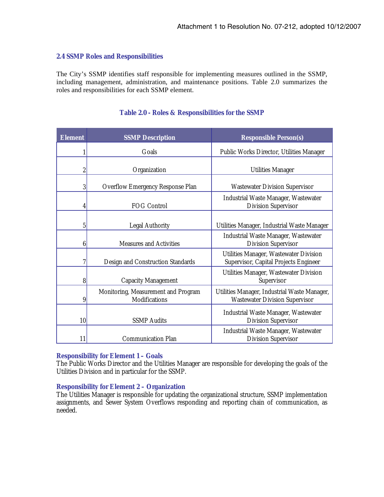### **2.4 SSMP Roles and Responsibilities**

The City's SSMP identifies staff responsible for implementing measures outlined in the SSMP, including management, administration, and maintenance positions. Table 2.0 summarizes the roles and responsibilities for each SSMP element.

| <b>Element</b> | <b>SSMP Description</b>                              | <b>Responsible Person(s)</b>                                                          |
|----------------|------------------------------------------------------|---------------------------------------------------------------------------------------|
|                | Goals                                                | Public Works Director, Utilities Manager                                              |
| $\overline{c}$ | Organization                                         | <b>Utilities Manager</b>                                                              |
| 3              | Overflow Emergency Response Plan                     | <b>Wastewater Division Supervisor</b>                                                 |
| 4              | FOG Control                                          | Industrial Waste Manager, Wastewater<br><b>Division Supervisor</b>                    |
| 5              | <b>Legal Authority</b>                               | Utilities Manager, Industrial Waste Manager                                           |
| 6              | Measures and Activities                              | Industrial Waste Manager, Wastewater<br><b>Division Supervisor</b>                    |
| 7              | Design and Construction Standards                    | Utilities Manager, Wastewater Division<br>Supervisor, Capital Projects Engineer       |
| 8              | <b>Capacity Management</b>                           | Utilities Manager, Wastewater Division<br>Supervisor                                  |
| 9              | Monitoring, Measurement and Program<br>Modifications | Utilities Manager, Industrial Waste Manager,<br><b>Wastewater Division Supervisor</b> |
| 10             | <b>SSMP</b> Audits                                   | Industrial Waste Manager, Wastewater<br><b>Division Supervisor</b>                    |
| 11             | <b>Communication Plan</b>                            | Industrial Waste Manager, Wastewater<br><b>Division Supervisor</b>                    |

# **Table 2.0 - Roles & Responsibilities for the SSMP**

### **Responsibility for Element 1 – Goals**

The Public Works Director and the Utilities Manager are responsible for developing the goals of the Utilities Division and in particular for the SSMP.

### **Responsibility for Element 2 – Organization**

The Utilities Manager is responsible for updating the organizational structure, SSMP implementation assignments, and Sewer System Overflows responding and reporting chain of communication, as needed.